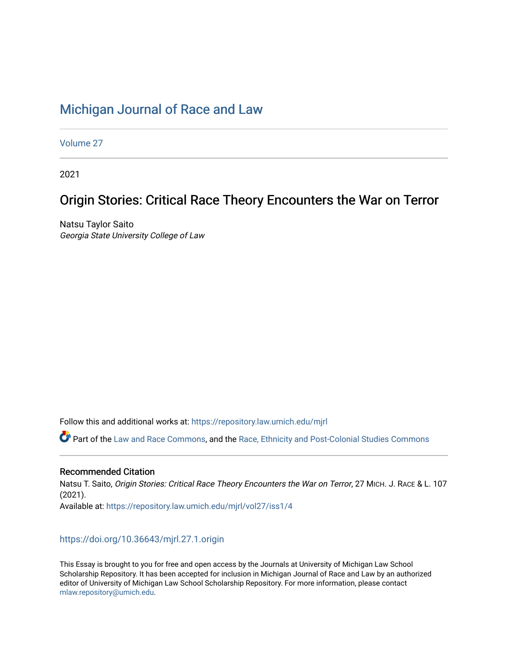# [Michigan Journal of Race and Law](https://repository.law.umich.edu/mjrl)

[Volume 27](https://repository.law.umich.edu/mjrl/vol27)

2021

# Origin Stories: Critical Race Theory Encounters the War on Terror

Natsu Taylor Saito Georgia State University College of Law

Follow this and additional works at: [https://repository.law.umich.edu/mjrl](https://repository.law.umich.edu/mjrl?utm_source=repository.law.umich.edu%2Fmjrl%2Fvol27%2Fiss1%2F4&utm_medium=PDF&utm_campaign=PDFCoverPages) 

Part of the [Law and Race Commons,](https://network.bepress.com/hgg/discipline/1300?utm_source=repository.law.umich.edu%2Fmjrl%2Fvol27%2Fiss1%2F4&utm_medium=PDF&utm_campaign=PDFCoverPages) and the [Race, Ethnicity and Post-Colonial Studies Commons](https://network.bepress.com/hgg/discipline/566?utm_source=repository.law.umich.edu%2Fmjrl%2Fvol27%2Fiss1%2F4&utm_medium=PDF&utm_campaign=PDFCoverPages) 

### Recommended Citation

Natsu T. Saito, Origin Stories: Critical Race Theory Encounters the War on Terror, 27 MICH. J. RACE & L. 107 (2021). Available at: [https://repository.law.umich.edu/mjrl/vol27/iss1/4](https://repository.law.umich.edu/mjrl/vol27/iss1/4?utm_source=repository.law.umich.edu%2Fmjrl%2Fvol27%2Fiss1%2F4&utm_medium=PDF&utm_campaign=PDFCoverPages) 

## <https://doi.org/10.36643/mjrl.27.1.origin>

This Essay is brought to you for free and open access by the Journals at University of Michigan Law School Scholarship Repository. It has been accepted for inclusion in Michigan Journal of Race and Law by an authorized editor of University of Michigan Law School Scholarship Repository. For more information, please contact [mlaw.repository@umich.edu.](mailto:mlaw.repository@umich.edu)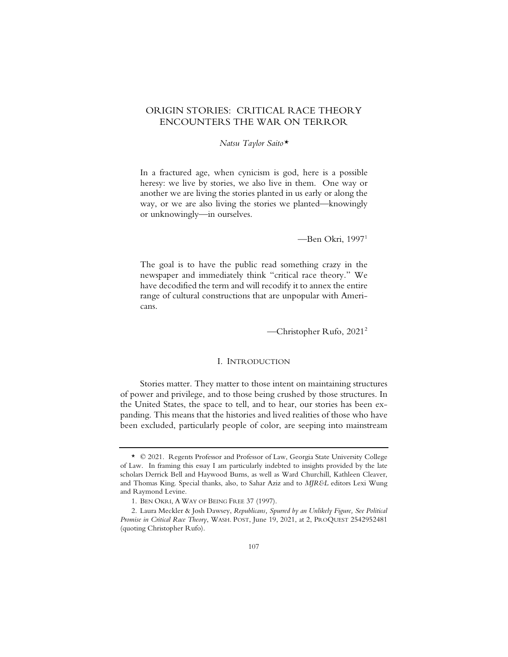## ORIGIN STORIES: CRITICAL RACE THEORY ENCOUNTERS THE WAR ON TERROR

*Natsu Taylor Saito\**

In a fractured age, when cynicism is god, here is a possible heresy: we live by stories, we also live in them. One way or another we are living the stories planted in us early or along the way, or we are also living the stories we planted—knowingly or unknowingly—in ourselves.

—Ben Okri, 19971

The goal is to have the public read something crazy in the newspaper and immediately think "critical race theory." We have decodified the term and will recodify it to annex the entire range of cultural constructions that are unpopular with Americans.

—Christopher Rufo, 20212

#### I. INTRODUCTION

Stories matter. They matter to those intent on maintaining structures of power and privilege, and to those being crushed by those structures. In the United States, the space to tell, and to hear, our stories has been expanding. This means that the histories and lived realities of those who have been excluded, particularly people of color, are seeping into mainstream

<sup>\* © 2021.</sup> Regents Professor and Professor of Law, Georgia State University College of Law. In framing this essay I am particularly indebted to insights provided by the late scholars Derrick Bell and Haywood Burns, as well as Ward Churchill, Kathleen Cleaver, and Thomas King. Special thanks, also, to Sahar Aziz and to *MJR&L* editors Lexi Wung and Raymond Levine.

<sup>1.</sup> BEN OKRI,AWAY OF BEING FREE 37 (1997).

<sup>2.</sup> Laura Meckler & Josh Dawsey, *Republicans, Spurred by an Unlikely Figure, See Political Promise in Critical Race Theory*, WASH. POST, June 19, 2021, at 2, PROQUEST 2542952481 (quoting Christopher Rufo).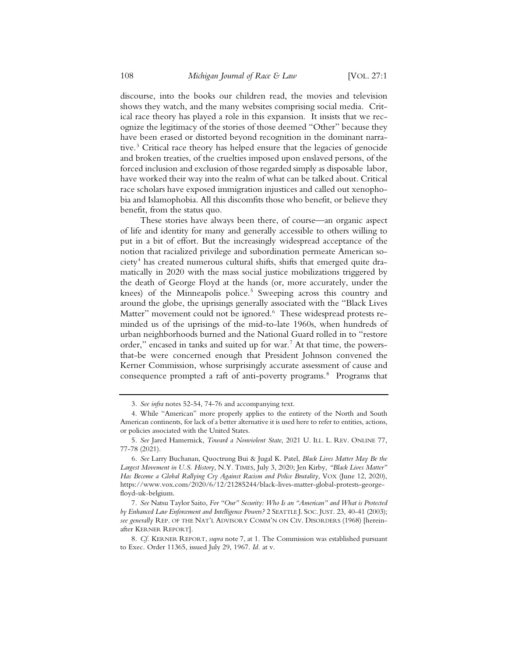discourse, into the books our children read, the movies and television shows they watch, and the many websites comprising social media. Critical race theory has played a role in this expansion. It insists that we recognize the legitimacy of the stories of those deemed "Other" because they have been erased or distorted beyond recognition in the dominant narrative.<sup>3</sup> Critical race theory has helped ensure that the legacies of genocide and broken treaties, of the cruelties imposed upon enslaved persons, of the forced inclusion and exclusion of those regarded simply as disposable labor, have worked their way into the realm of what can be talked about. Critical race scholars have exposed immigration injustices and called out xenophobia and Islamophobia. All this discomfits those who benefit, or believe they benefit, from the status quo.

These stories have always been there, of course*—*an organic aspect of life and identity for many and generally accessible to others willing to put in a bit of effort. But the increasingly widespread acceptance of the notion that racialized privilege and subordination permeate American so $ciety<sup>4</sup>$  has created numerous cultural shifts, shifts that emerged quite dramatically in 2020 with the mass social justice mobilizations triggered by the death of George Floyd at the hands (or, more accurately, under the knees) of the Minneapolis police.<sup>5</sup> Sweeping across this country and around the globe, the uprisings generally associated with the "Black Lives Matter" movement could not be ignored.<sup>6</sup> These widespread protests reminded us of the uprisings of the mid-to-late 1960s, when hundreds of urban neighborhoods burned and the National Guard rolled in to "restore order," encased in tanks and suited up for war.<sup>7</sup> At that time, the powersthat-be were concerned enough that President Johnson convened the Kerner Commission, whose surprisingly accurate assessment of cause and consequence prompted a raft of anti-poverty programs.<sup>8</sup> Programs that

<sup>3</sup>*. See infra* notes 52-54, 74-76 and accompanying text.

<sup>4.</sup> While "American" more properly applies to the entirety of the North and South American continents, for lack of a better alternative it is used here to refer to entities, actions, or policies associated with the United States.

<sup>5</sup>*. See* Jared Hamernick, *Toward a Nonviolent State*, 2021 U. ILL. L. REV. ONLINE 77, 77-78 (2021).

<sup>6</sup>*. See* Larry Buchanan, Quoctrung Bui & Jugal K. Patel, *Black Lives Matter May Be the Largest Movement in U.S. History*, N.Y. TIMES, July 3, 2020; Jen Kirby, *"Black Lives Matter" Has Become a Global Rallying Cry Against Racism and Police Brutality*, VOX (June 12, 2020), https://www.vox.com/2020/6/12/21285244/black-lives-matter-global-protests-georgefloyd-uk-belgium.

<sup>7</sup>*. See* Natsu Taylor Saito, *For "Our" Security: Who Is an "American" and What is Protected by Enhanced Law Enforcement and Intelligence Powers?* 2 SEATTLE J. SOC. JUST. 23, 40-41 (2003); *see generally* REP. OF THE NAT'L ADVISORY COMM'N ON CIV. DISORDERS (1968) [hereinafter KERNER REPORT].

<sup>8</sup>*. Cf.* KERNER REPORT, *supra* note 7, at 1. The Commission was established pursuant to Exec. Order 11365, issued July 29, 1967. *Id.* at v.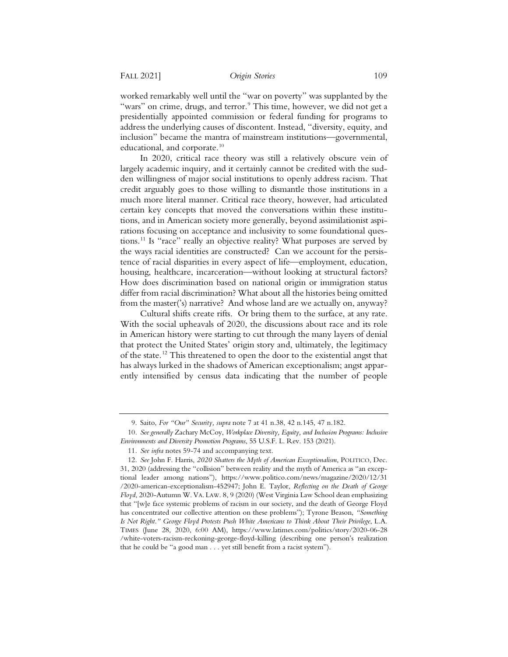worked remarkably well until the "war on poverty" was supplanted by the "wars" on crime, drugs, and terror.<sup>9</sup> This time, however, we did not get a presidentially appointed commission or federal funding for programs to address the underlying causes of discontent. Instead, "diversity, equity, and inclusion" became the mantra of mainstream institutions—governmental, educational, and corporate.<sup>10</sup>

In 2020, critical race theory was still a relatively obscure vein of largely academic inquiry, and it certainly cannot be credited with the sudden willingness of major social institutions to openly address racism. That credit arguably goes to those willing to dismantle those institutions in a much more literal manner. Critical race theory, however, had articulated certain key concepts that moved the conversations within these institutions, and in American society more generally, beyond assimilationist aspirations focusing on acceptance and inclusivity to some foundational questions.11 Is "race" really an objective reality? What purposes are served by the ways racial identities are constructed? Can we account for the persistence of racial disparities in every aspect of life—employment, education, housing, healthcare, incarceration—without looking at structural factors? How does discrimination based on national origin or immigration status differ from racial discrimination? What about all the histories being omitted from the master('s) narrative? And whose land are we actually on, anyway?

Cultural shifts create rifts. Or bring them to the surface, at any rate. With the social upheavals of 2020, the discussions about race and its role in American history were starting to cut through the many layers of denial that protect the United States' origin story and, ultimately, the legitimacy of the state.12 This threatened to open the door to the existential angst that has always lurked in the shadows of American exceptionalism; angst apparently intensified by census data indicating that the number of people

<sup>9.</sup> Saito, *For "Our" Security, supra* note 7 at 41 n.38, 42 n.145, 47 n.182.

<sup>10</sup>*. See generally* Zachary McCoy, *Workplace Diversity, Equity, and Inclusion Programs: Inclusive Environments and Diversity Promotion Programs*, 55 U.S.F. L. Rev. 153 (2021).

<sup>11</sup>*. See infra* notes 59-74 and accompanying text.

<sup>12</sup>*. See* John F. Harris, *2020 Shatters the Myth of American Exceptionalism*, POLITICO, Dec. 31, 2020 (addressing the "collision" between reality and the myth of America as "an exceptional leader among nations"), https://www.politico.com/news/magazine/2020/12/31 /2020-american-exceptionalism-452947; John E. Taylor, *Reflecting on the Death of George Floyd*, 2020-Autumn W. VA. LAW. 8, 9 (2020) (West Virginia Law School dean emphasizing that "[w]e face systemic problems of racism in our society, and the death of George Floyd has concentrated our collective attention on these problems"); Tyrone Beason, *"Something Is Not Right." George Floyd Protests Push White Americans to Think About Their Privilege*, L.A. TIMES (June 28, 2020, 6:00 AM), https://www.latimes.com/politics/story/2020-06-28 /white-voters-racism-reckoning-george-floyd-killing (describing one person's realization that he could be "a good man . . . yet still benefit from a racist system").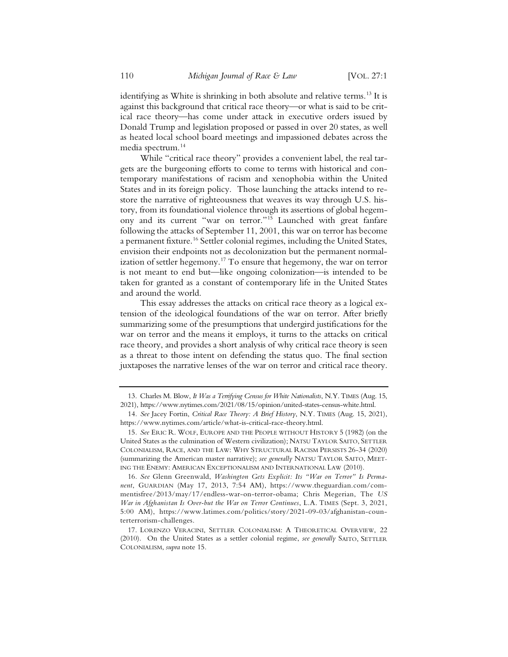identifying as White is shrinking in both absolute and relative terms.<sup>13</sup> It is against this background that critical race theory—or what is said to be critical race theory—has come under attack in executive orders issued by Donald Trump and legislation proposed or passed in over 20 states, as well as heated local school board meetings and impassioned debates across the media spectrum.<sup>14</sup>

While "critical race theory" provides a convenient label, the real targets are the burgeoning efforts to come to terms with historical and contemporary manifestations of racism and xenophobia within the United States and in its foreign policy. Those launching the attacks intend to restore the narrative of righteousness that weaves its way through U.S. history, from its foundational violence through its assertions of global hegemony and its current "war on terror."15 Launched with great fanfare following the attacks of September 11, 2001, this war on terror has become a permanent fixture.<sup>16</sup> Settler colonial regimes, including the United States, envision their endpoints not as decolonization but the permanent normalization of settler hegemony.<sup>17</sup> To ensure that hegemony, the war on terror is not meant to end but—like ongoing colonization—is intended to be taken for granted as a constant of contemporary life in the United States and around the world.

This essay addresses the attacks on critical race theory as a logical extension of the ideological foundations of the war on terror. After briefly summarizing some of the presumptions that undergird justifications for the war on terror and the means it employs, it turns to the attacks on critical race theory, and provides a short analysis of why critical race theory is seen as a threat to those intent on defending the status quo. The final section juxtaposes the narrative lenses of the war on terror and critical race theory.

<sup>13.</sup> Charles M. Blow, *It Was a Terrifying Census for White Nationalists*, N.Y. TIMES (Aug. 15, 2021), https://www.nytimes.com/2021/08/15/opinion/united-states-census-white.html.

<sup>14</sup>*. See* Jacey Fortin, *Critical Race Theory: A Brief History*, N.Y. TIMES (Aug. 15, 2021), https://www.nytimes.com/article/what-is-critical-race-theory.html.

<sup>15</sup>*. See* ERIC R. WOLF, EUROPE AND THE PEOPLE WITHOUT HISTORY 5 (1982) (on the United States as the culmination of Western civilization); NATSU TAYLOR SAITO, SETTLER COLONIALISM, RACE, AND THE LAW: WHY STRUCTURAL RACISM PERSISTS 26-34 (2020) (summarizing the American master narrative); *see generally* NATSU TAYLOR SAITO, MEET-ING THE ENEMY: AMERICAN EXCEPTIONALISM AND INTERNATIONAL LAW (2010).

<sup>16</sup>*. See* Glenn Greenwald, *Washington Gets Explicit: Its "War on Terror" Is Permanent*, GUARDIAN (May 17, 2013, 7:54 AM), https://www.theguardian.com/commentisfree/2013/may/17/endless-war-on-terror-obama; Chris Megerian, The *US War in Afghanistan Is Over-but the War on Terror Continues*, L.A. TIMES (Sept. 3, 2021, 5:00 AM), https://www.latimes.com/politics/story/2021-09-03/afghanistan-counterterrorism-challenges.

<sup>17.</sup> LORENZO VERACINI, SETTLER COLONIALISM: A THEORETICAL OVERVIEW, 22 (2010). On the United States as a settler colonial regime, *see generally* SAITO, SETTLER COLONIALISM, *supra* note 15.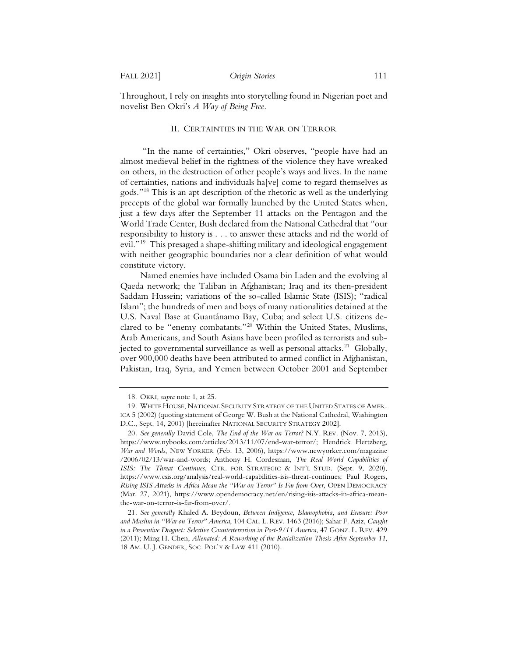FALL 2021] *Origin Stories* 111

Throughout, I rely on insights into storytelling found in Nigerian poet and novelist Ben Okri's *A Way of Being Free*.

#### II. CERTAINTIES IN THE WAR ON TERROR

"In the name of certainties," Okri observes, "people have had an almost medieval belief in the rightness of the violence they have wreaked on others, in the destruction of other people's ways and lives. In the name of certainties, nations and individuals ha[ve] come to regard themselves as gods."18 This is an apt description of the rhetoric as well as the underlying precepts of the global war formally launched by the United States when, just a few days after the September 11 attacks on the Pentagon and the World Trade Center, Bush declared from the National Cathedral that "our responsibility to history is . . . to answer these attacks and rid the world of evil."<sup>19</sup> This presaged a shape-shifting military and ideological engagement with neither geographic boundaries nor a clear definition of what would constitute victory.

Named enemies have included Osama bin Laden and the evolving al Qaeda network; the Taliban in Afghanistan; Iraq and its then-president Saddam Hussein; variations of the so-called Islamic State (ISIS); "radical Islam"; the hundreds of men and boys of many nationalities detained at the U.S. Naval Base at Guantánamo Bay, Cuba; and select U.S. citizens declared to be "enemy combatants."20 Within the United States, Muslims, Arab Americans, and South Asians have been profiled as terrorists and subjected to governmental surveillance as well as personal attacks.<sup>21</sup> Globally, over 900,000 deaths have been attributed to armed conflict in Afghanistan, Pakistan, Iraq, Syria, and Yemen between October 2001 and September

<sup>18.</sup> OKRI*, supra* note 1, at 25.

<sup>19.</sup> WHITE HOUSE, NATIONAL SECURITY STRATEGY OF THE UNITED STATES OF AMER-ICA 5 (2002) (quoting statement of George W. Bush at the National Cathedral, Washington D.C., Sept. 14, 2001) [hereinafter NATIONAL SECURITY STRATEGY 2002].

<sup>20</sup>*. See generally* David Cole, *The End of the War on Terror?* N.Y. REV. (Nov. 7, 2013), https://www.nybooks.com/articles/2013/11/07/end-war-terror/; Hendrick Hertzberg, *War and Words*, NEW YORKER (Feb. 13, 2006), https://www.newyorker.com/magazine /2006/02/13/war-and-words; Anthony H. Cordesman, *The Real World Capabilities of ISIS: The Threat Continues*, CTR. FOR STRATEGIC & INT'L STUD. (Sept. 9, 2020), https://www.csis.org/analysis/real-world-capabilities-isis-threat-continues; Paul Rogers, *Rising ISIS Attacks in Africa Mean the "War on Terror" Is Far from Over,* OPEN DEMOCRACY (Mar. 27, 2021), https://www.opendemocracy.net/en/rising-isis-attacks-in-africa-meanthe-war-on-terror-is-far-from-over/.

<sup>21</sup>*. See generally* Khaled A. Beydoun, *Between Indigence, Islamophobia, and Erasure: Poor and Muslim in "War on Terror" America*, 104 CAL. L. REV. 1463 (2016); Sahar F. Aziz, *Caught*  in a Preventive Dragnet: Selective Counterterrorism in Post-9/11 America, 47 GONZ. L. REV. 429 (2011); Ming H. Chen, *Alienated: A Reworking of the Racialization Thesis After September 11*, 18 AM. U. J. GENDER, SOC. POL'Y & LAW 411 (2010).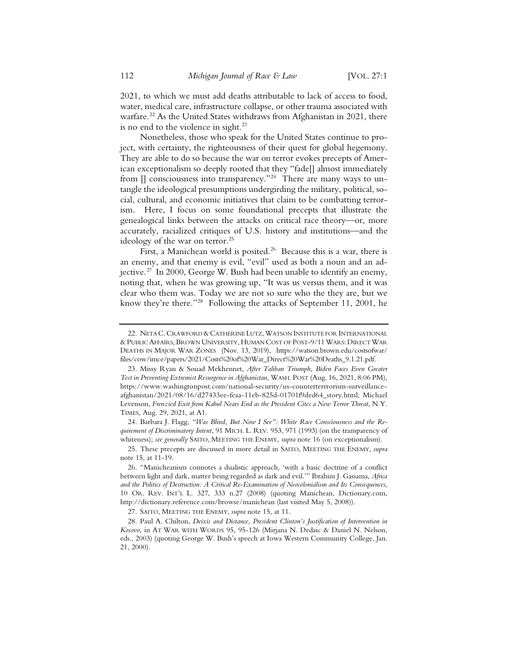2021, to which we must add deaths attributable to lack of access to food, water, medical care, infrastructure collapse, or other trauma associated with warfare.<sup>22</sup> As the United States withdraws from Afghanistan in 2021, there is no end to the violence in sight.<sup>23</sup>

Nonetheless, those who speak for the United States continue to project, with certainty, the righteousness of their quest for global hegemony. They are able to do so because the war on terror evokes precepts of American exceptionalism so deeply rooted that they "fade[] almost immediately from  $\prod$  consciousness into transparency."<sup>24</sup> There are many ways to untangle the ideological presumptions undergirding the military, political, social, cultural, and economic initiatives that claim to be combatting terrorism. Here, I focus on some foundational precepts that illustrate the genealogical links between the attacks on critical race theory—or, more accurately, racialized critiques of U.S. history and institutions—and the ideology of the war on terror.<sup>25</sup>

First, a Manichean world is posited.<sup>26</sup> Because this is a war, there is an enemy, and that enemy is evil, "evil" used as both a noun and an adjective.<sup>27</sup> In 2000, George W. Bush had been unable to identify an enemy, noting that, when he was growing up, "It was us versus them, and it was clear who them was. Today we are not so sure who the they are, but we know they're there."<sup>28</sup> Following the attacks of September 11, 2001, he

24. Barbara J. Flagg, *"Was Blind, But Now I See": White Race Consciousness and the Requirement of Discriminatory Intent*, 91 MICH. L. REV. 953, 971 (1993) (on the transparency of whiteness); *see generally* SAITO, MEETING THE ENEMY, *supra* note 16 (on exceptionalism).

25. These precepts are discussed in more detail in SAITO, MEETING THE ENEMY, *supra* note 15, at 11-19.

26. "Manicheanism connotes a dualistic approach, 'with a basic doctrine of a conflict between light and dark, matter being regarded as dark and evil.'" Ibrahim J. Gassama, *Africa and the Politics of Destruction: A Critical Re-Examination of Neocolonialism and Its Consequences*, 10 OR. REV. INT'L L. 327, 333 n.27 (2008) (quoting Manichean, Dictionary.com, http://dictionary.reference.com/browse/manichean (last visited May 5, 2008)).

27. SAITO, MEETING THE ENEMY, *supra* note 15, at 11.

<sup>22.</sup> NETA C. CRAWFORD & CATHERINE LUTZ, WATSON INSTITUTE FOR INTERNATIONAL & PUBLIC AFFAIRS, BROWN UNIVERSITY, HUMAN COST OF POST-9/11 WARS: DIRECT WAR DEATHS IN MAJOR WAR ZONES (Nov. 13, 2019), https://watson.brown.edu/costsofwar/ files/cow/imce/papers/2021/Costs%20of%20War\_Direct%20War%20Deaths\_9.1.21.pdf.

<sup>23.</sup> Missy Ryan & Souad Mekhennet, *After Taliban Triumph, Biden Faces Even Greater Test in Preventing Extremist Resurgence in Afghanistan*, WASH. POST (Aug. 16, 2021, 8:06 PM), https://www.washingtonpost.com/national-security/us-counterterrrorism-surveillanceafghanistan/2021/08/16/d27433ee-feaa-11eb-825d-01701f9ded64\_story.html; Michael Levenson, *Frenzied Exit from Kabul Nears End as the President Cites a New Terror Threat*, N.Y. TIMES, Aug. 29, 2021, at A1.

<sup>28.</sup> Paul A. Chilton, *Deixis and Distance, President Clinton's Justification of Intervention in Kosovo*, in AT WAR WITH WORDS 95, 95-126 (Mirjana N. Dedaic & Daniel N. Nelson, eds., 2003) (quoting George W. Bush's speech at Iowa Western Community College, Jan. 21, 2000).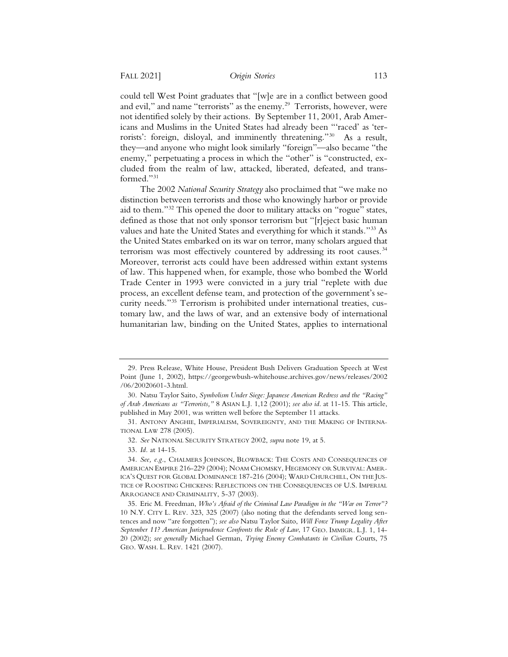could tell West Point graduates that "[w]e are in a conflict between good and evil," and name "terrorists" as the enemy.<sup>29</sup> Terrorists, however, were not identified solely by their actions. By September 11, 2001, Arab Americans and Muslims in the United States had already been "'raced' as 'terrorists': foreign, disloyal, and imminently threatening."30 As a result, they—and anyone who might look similarly "foreign"—also became "the enemy," perpetuating a process in which the "other" is "constructed, excluded from the realm of law, attacked, liberated, defeated, and transformed."31

The 2002 *National Security Strategy* also proclaimed that "we make no distinction between terrorists and those who knowingly harbor or provide aid to them."32 This opened the door to military attacks on "rogue" states, defined as those that not only sponsor terrorism but "[r]eject basic human values and hate the United States and everything for which it stands*.*"33 As the United States embarked on its war on terror, many scholars argued that terrorism was most effectively countered by addressing its root causes.<sup>34</sup> Moreover, terrorist acts could have been addressed within extant systems of law. This happened when, for example, those who bombed the World Trade Center in 1993 were convicted in a jury trial "replete with due process, an excellent defense team, and protection of the government's security needs."35 Terrorism is prohibited under international treaties, customary law, and the laws of war, and an extensive body of international humanitarian law, binding on the United States, applies to international

<sup>29.</sup> Press Release, White House, President Bush Delivers Graduation Speech at West Point (June 1, 2002), https://georgewbush-whitehouse.archives.gov/news/releases/2002 /06/20020601-3.html.

<sup>30.</sup> Natsu Taylor Saito, *Symbolism Under Siege: Japanese American Redress and the "Racing" of Arab Americans as "Terrorists,"* 8 ASIAN L.J. 1,12 (2001); *see also id*. at 11-15. This article, published in May 2001, was written well before the September 11 attacks.

<sup>31.</sup> ANTONY ANGHIE, IMPERIALISM, SOVEREIGNTY, AND THE MAKING OF INTERNA-TIONAL LAW 278 (2005).

<sup>32</sup>*. See* NATIONAL SECURITY STRATEGY 2002, *supra* note 19, at 5.

<sup>33</sup>*. Id.* at 14-15.

<sup>34</sup>*. See, e.g.*, CHALMERS JOHNSON, BLOWBACK: THE COSTS AND CONSEQUENCES OF AMERICAN EMPIRE 216-229 (2004); NOAM CHOMSKY, HEGEMONY OR SURVIVAL: AMER-ICA'S QUEST FOR GLOBAL DOMINANCE 187-216 (2004); WARD CHURCHILL, ON THE JUS-TICE OF ROOSTING CHICKENS: REFLECTIONS ON THE CONSEQUENCES OF U.S. IMPERIAL ARROGANCE AND CRIMINALITY, 5-37 (2003).

<sup>35.</sup> Eric M. Freedman, *Who's Afraid of the Criminal Law Paradigm in the "War on Terror"?*  10 N.Y. CITY L. REV. 323, 325 (2007) (also noting that the defendants served long sentences and now "are forgotten"); *see also* Natsu Taylor Saito, *Will Force Trump Legality After September 11? American Jurisprudence Confronts the Rule of Law*, 17 GEO. IMMIGR. L.J. 1, 14- 20 (2002); *see generally* Michael German, *Trying Enemy Combatants in Civilian C*ourts, 75 GEO. WASH. L. REV. 1421 (2007).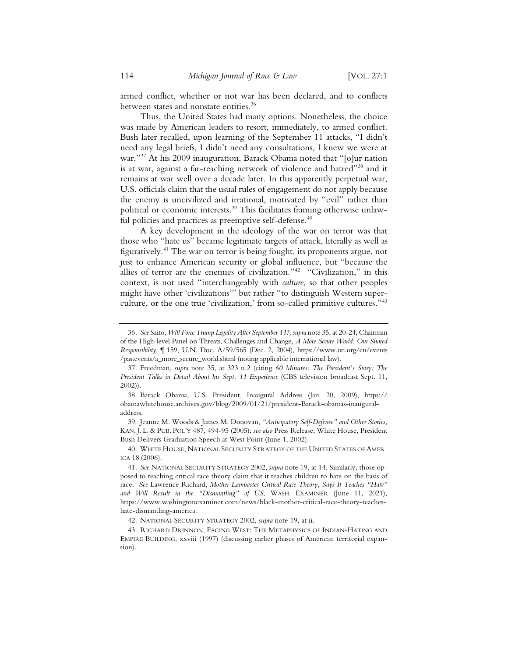armed conflict, whether or not war has been declared, and to conflicts between states and nonstate entities.<sup>36</sup>

Thus, the United States had many options. Nonetheless, the choice was made by American leaders to resort, immediately, to armed conflict. Bush later recalled, upon learning of the September 11 attacks, "I didn't need any legal briefs, I didn't need any consultations, I knew we were at war."37 At his 2009 inauguration, Barack Obama noted that "[o]ur nation is at war, against a far-reaching network of violence and hatred"38 and it remains at war well over a decade later. In this apparently perpetual war, U.S. officials claim that the usual rules of engagement do not apply because the enemy is uncivilized and irrational, motivated by "evil" rather than political or economic interests.<sup>39</sup> This facilitates framing otherwise unlawful policies and practices as preemptive self-defense.<sup>40</sup>

A key development in the ideology of the war on terror was that those who "hate us" became legitimate targets of attack, literally as well as figuratively.41 The war on terror is being fought, its proponents argue, not just to enhance American security or global influence, but "because the allies of terror are the enemies of civilization."<sup>42</sup> "Civilization," in this context, is not used "interchangeably with *culture*, so that other peoples might have other 'civilizations'" but rather "to distinguish Western superculture, or the one true 'civilization,' from so-called primitive cultures."43

39. Jeanne M. Woods & James M. Donovan, *"Anticipatory Self-Defense" and Other Stories*, KAN. J. L. & PUB. POL'Y 487, 494-95 (2005); *see also* Press Release, White House, President Bush Delivers Graduation Speech at West Point (June 1, 2002).

40. WHITE HOUSE, NATIONAL SECURITY STRATEGY OF THE UNITED STATES OF AMER-ICA 18 (2006).

<sup>36</sup>*. See* Saito, *Will Force Trump Legality After September 11?, supra* note 35, at 20-24; Chairman of the High-level Panel on Threats, Challenges and Change, *A More Secure World: Our Shared Responsibility*, ¶ 159, U.N. Doc. A/59/565 (Dec. 2, 2004), https://www.un.org/en/events /pastevents/a\_more\_secure\_world.shtml (noting applicable international law).

<sup>37.</sup> Freedman, *supra* note 35, at 323 n.2 (citing *60 Minutes: The President's Story: The President Talks in Detail About his Sept. 11 Experience* (CBS television broadcast Sept. 11, 2002)).

<sup>38.</sup> Barack Obama, U.S. President, Inaugural Address (Jan. 20, 2009), https:// obamawhitehouse.archives.gov/blog/2009/01/21/president-Barack-obamas-inauguraladdress.

<sup>41</sup>*. See* NATIONAL SECURITY STRATEGY 2002, *supra* note 19, at 14. Similarly, those opposed to teaching critical race theory claim that it teaches children to hate on the basis of race. *See* Lawrence Richard, *Mother Lambastes Critical Race Theory, Says It Teaches "Hate" and Will Result in the "Dismantling" of US*, WASH. EXAMINER (June 11, 2021), https://www.washingtonexaminer.com/news/black-mother-critical-race-theory-teacheshate-dismantling-america.

<sup>42.</sup> NATIONAL SECURITY STRATEGY 2002, *supra* note 19, at ii.

<sup>43.</sup> RICHARD DRINNON, FACING WEST: THE METAPHYSICS OF INDIAN-HATING AND EMPIRE BUILDING, xxviii (1997) (discussing earlier phases of American territorial expansion).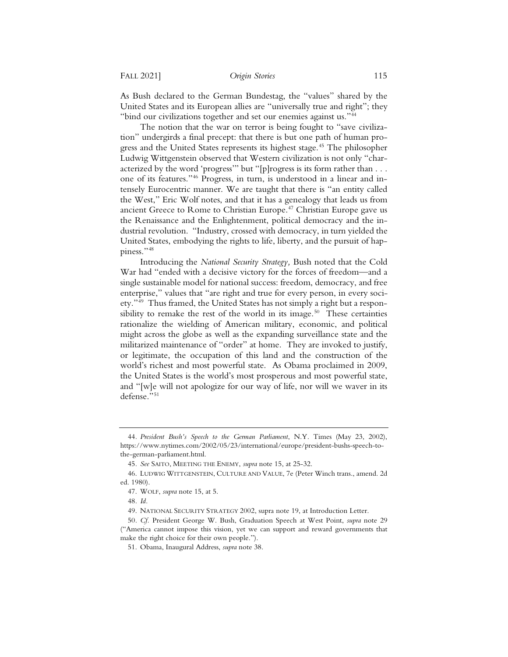As Bush declared to the German Bundestag, the "values" shared by the United States and its European allies are "universally true and right"; they "bind our civilizations together and set our enemies against us."44

The notion that the war on terror is being fought to "save civilization" undergirds a final precept: that there is but one path of human progress and the United States represents its highest stage.<sup>45</sup> The philosopher Ludwig Wittgenstein observed that Western civilization is not only "characterized by the word 'progress'" but "[p]rogress is its form rather than . . . one of its features."46 Progress, in turn, is understood in a linear and intensely Eurocentric manner. We are taught that there is "an entity called the West," Eric Wolf notes, and that it has a genealogy that leads us from ancient Greece to Rome to Christian Europe.<sup>47</sup> Christian Europe gave us the Renaissance and the Enlightenment, political democracy and the industrial revolution. "Industry, crossed with democracy, in turn yielded the United States, embodying the rights to life, liberty, and the pursuit of happiness."48

Introducing the *National Security Strategy,* Bush noted that the Cold War had "ended with a decisive victory for the forces of freedom—and a single sustainable model for national success: freedom, democracy, and free enterprise," values that "are right and true for every person, in every society."49 Thus framed, the United States has not simply a right but a responsibility to remake the rest of the world in its image. $50$  These certainties rationalize the wielding of American military, economic, and political might across the globe as well as the expanding surveillance state and the militarized maintenance of "order" at home. They are invoked to justify, or legitimate, the occupation of this land and the construction of the world's richest and most powerful state. As Obama proclaimed in 2009, the United States is the world's most prosperous and most powerful state, and "[w]e will not apologize for our way of life, nor will we waver in its defense."51

<sup>44</sup>*. President Bush's Speech to the German Parliament*, N.Y. Times (May 23, 2002), https://www.nytimes.com/2002/05/23/international/europe/president-bushs-speech-tothe-german-parliament.html.

<sup>45</sup>*. See* SAITO, MEETING THE ENEMY, *supra* note 15, at 25-32.

<sup>46.</sup> LUDWIG WITTGENSTEIN, CULTURE AND VALUE, 7e (Peter Winch trans., amend. 2d ed. 1980).

<sup>47.</sup> WOLF, *supra* note 15, at 5.

<sup>48</sup>*. Id.*

<sup>49.</sup> NATIONAL SECURITY STRATEGY 2002, supra note 19, at Introduction Letter.

<sup>50</sup>*. Cf.* President George W. Bush, Graduation Speech at West Point, *supra* note 29 ("America cannot impose this vision, yet we can support and reward governments that make the right choice for their own people.").

<sup>51.</sup> Obama, Inaugural Address, *supra* note 38.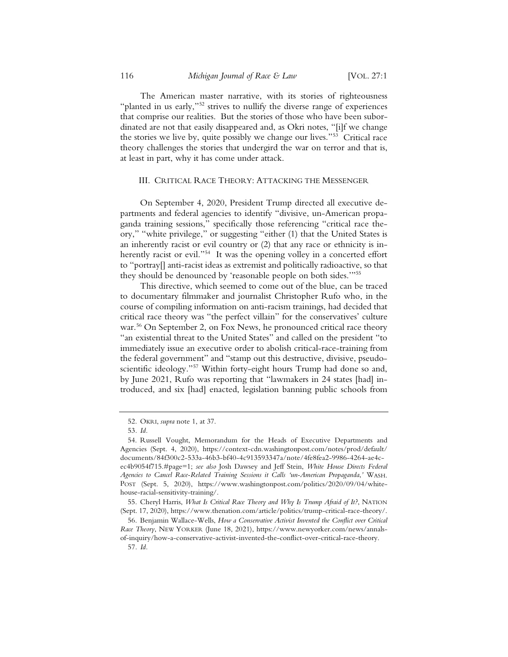The American master narrative, with its stories of righteousness "planted in us early,"<sup>52</sup> strives to nullify the diverse range of experiences that comprise our realities. But the stories of those who have been subordinated are not that easily disappeared and, as Okri notes, "[i]f we change the stories we live by, quite possibly we change our lives."53 Critical race theory challenges the stories that undergird the war on terror and that is, at least in part, why it has come under attack.

### III. CRITICAL RACE THEORY: ATTACKING THE MESSENGER

On September 4, 2020, President Trump directed all executive departments and federal agencies to identify "divisive, un-American propaganda training sessions," specifically those referencing "critical race theory," "white privilege," or suggesting "either (1) that the United States is an inherently racist or evil country or (2) that any race or ethnicity is inherently racist or evil."<sup>54</sup> It was the opening volley in a concerted effort to "portray[] anti-racist ideas as extremist and politically radioactive, so that they should be denounced by 'reasonable people on both sides.'"55

This directive, which seemed to come out of the blue, can be traced to documentary filmmaker and journalist Christopher Rufo who, in the course of compiling information on anti-racism trainings, had decided that critical race theory was "the perfect villain" for the conservatives' culture war.<sup>56</sup> On September 2, on Fox News, he pronounced critical race theory "an existential threat to the United States" and called on the president "to immediately issue an executive order to abolish critical-race-training from the federal government" and "stamp out this destructive, divisive, pseudoscientific ideology."<sup>57</sup> Within forty-eight hours Trump had done so and, by June 2021, Rufo was reporting that "lawmakers in 24 states [had] introduced, and six [had] enacted, legislation banning public schools from

<sup>52.</sup> OKRI, *supra* note 1, at 37.

<sup>53</sup>*. Id.*

<sup>54.</sup> Russell Vought, Memorandum for the Heads of Executive Departments and Agencies (Sept. 4, 2020), https://context-cdn.washingtonpost.com/notes/prod/default/ documents/84f300c2-533a-46b3-bf40-4c913593347a/note/4fe8fea2-9986-4264-ae4cec4b9054f715.#page=1; *see also* Josh Dawsey and Jeff Stein, *White House Directs Federal Agencies to Cancel Race-Related Training Sessions it Calls 'un-American Propaganda*,*'* WASH. POST (Sept. 5, 2020), https://www.washingtonpost.com/politics/2020/09/04/whitehouse-racial-sensitivity-training/.

<sup>55.</sup> Cheryl Harris, *What Is Critical Race Theory and Why Is Trump Afraid of It?*, NATION (Sept. 17, 2020), https://www.thenation.com/article/politics/trump-critical-race-theory/.

<sup>56.</sup> Benjamin Wallace-Wells, *How a Conservative Activist Invented the Conflict over Critical Race Theory*, NEW YORKER (June 18, 2021), https://www.newyorker.com/news/annalsof-inquiry/how-a-conservative-activist-invented-the-conflict-over-critical-race-theory.

<sup>57</sup>*. Id.*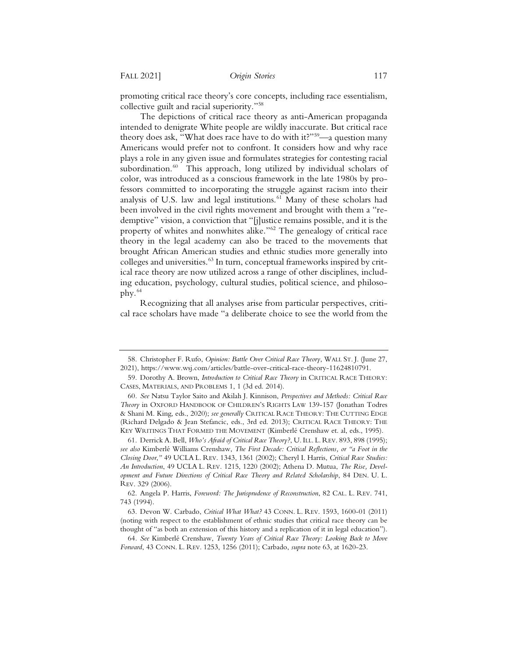promoting critical race theory's core concepts, including race essentialism, collective guilt and racial superiority."58

The depictions of critical race theory as anti-American propaganda intended to denigrate White people are wildly inaccurate. But critical race theory does ask, "What does race have to do with it?"59—a question many Americans would prefer not to confront. It considers how and why race plays a role in any given issue and formulates strategies for contesting racial subordination.<sup>60</sup> This approach, long utilized by individual scholars of color, was introduced as a conscious framework in the late 1980s by professors committed to incorporating the struggle against racism into their analysis of U.S. law and legal institutions.<sup>61</sup> Many of these scholars had been involved in the civil rights movement and brought with them a "redemptive" vision, a conviction that "[j]ustice remains possible, and it is the property of whites and nonwhites alike."62 The genealogy of critical race theory in the legal academy can also be traced to the movements that brought African American studies and ethnic studies more generally into colleges and universities.<sup>63</sup> In turn, conceptual frameworks inspired by critical race theory are now utilized across a range of other disciplines, including education, psychology, cultural studies, political science, and philosophy.64

Recognizing that all analyses arise from particular perspectives, critical race scholars have made "a deliberate choice to see the world from the

<sup>58.</sup> Christopher F. Rufo, *Opinion: Battle Over Critical Race Theory*, WALL ST. J. (June 27, 2021), https://www.wsj.com/articles/battle-over-critical-race-theory-11624810791.

<sup>59.</sup> Dorothy A. Brown, *Introduction to Critical Race Theory* in CRITICAL RACE THEORY: CASES, MATERIALS, AND PROBLEMS 1, 1 (3d ed. 2014).

<sup>60</sup>*. See* Natsu Taylor Saito and Akilah J. Kinnison, *Perspectives and Methods: Critical Race Theory* in OXFORD HANDBOOK OF CHILDREN'S RIGHTS LAW 139-157 (Jonathan Todres & Shani M. King, eds., 2020); *see generally* CRITICAL RACE THEORY: THE CUTTING EDGE (Richard Delgado & Jean Stefancic, eds., 3rd ed. 2013); CRITICAL RACE THEORY: THE KEY WRITINGS THAT FORMED THE MOVEMENT (Kimberlé Crenshaw et. al, eds., 1995).

<sup>61.</sup> Derrick A. Bell, *Who's Afraid of Critical Race Theory?*, U. ILL. L. REV. 893, 898 (1995); *see also* Kimberlé Williams Crenshaw, *The First Decade: Critical Reflections, or "a Foot in the Closing Door*,*"* 49 UCLA L. REV. 1343, 1361 (2002); Cheryl I. Harris, *Critical Race Studies: An Introduction*, 49 UCLA L. REV. 1215, 1220 (2002); Athena D. Mutua, *The Rise, Development and Future Directions of Critical Race Theory and Related Scholarship*, 84 DEN. U. L. REV. 329 (2006).

<sup>62.</sup> Angela P. Harris, *Foreword: The Jurisprudence of Reconstruction*, 82 CAL. L. REV. 741, 743 (1994).

<sup>63.</sup> Devon W. Carbado, *Critical What What?* 43 CONN. L. REV. 1593, 1600-01 (2011) (noting with respect to the establishment of ethnic studies that critical race theory can be thought of "as both an extension of this history and a replication of it in legal education").

<sup>64</sup>*. See* Kimberlé Crenshaw, *Twenty Years of Critical Race Theory: Looking Back to Move Forward*, 43 CONN. L. REV. 1253, 1256 (2011); Carbado, *supra* note 63, at 1620-23.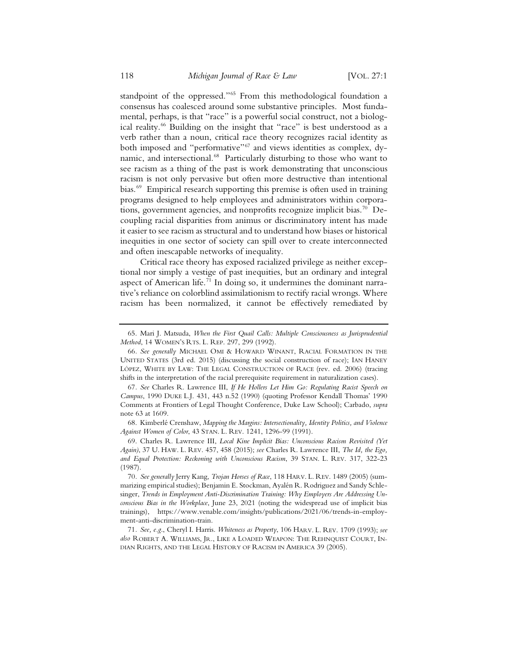standpoint of the oppressed."<sup>65</sup> From this methodological foundation a consensus has coalesced around some substantive principles. Most fundamental, perhaps, is that "race" is a powerful social construct, not a biological reality.<sup>66</sup> Building on the insight that "race" is best understood as a verb rather than a noun, critical race theory recognizes racial identity as both imposed and "performative"<sup>67</sup> and views identities as complex, dynamic, and intersectional.<sup>68</sup> Particularly disturbing to those who want to see racism as a thing of the past is work demonstrating that unconscious racism is not only pervasive but often more destructive than intentional bias.<sup>69</sup> Empirical research supporting this premise is often used in training programs designed to help employees and administrators within corporations, government agencies, and nonprofits recognize implicit bias.<sup>70</sup> Decoupling racial disparities from animus or discriminatory intent has made it easier to see racism as structural and to understand how biases or historical inequities in one sector of society can spill over to create interconnected and often inescapable networks of inequality.

Critical race theory has exposed racialized privilege as neither exceptional nor simply a vestige of past inequities, but an ordinary and integral aspect of American life.<sup>71</sup> In doing so, it undermines the dominant narrative's reliance on colorblind assimilationism to rectify racial wrongs. Where racism has been normalized, it cannot be effectively remediated by

68. Kimberlé Crenshaw, *Mapping the Margins: Intersectionality, Identity Politics, and Violence Against Women of Color*, 43 STAN. L. REV. 1241, 1296-99 (1991).

<sup>65.</sup> Mari J. Matsuda, *When the First Quail Calls: Multiple Consciousness as Jurisprudential Method*, 14 WOMEN'S RTS. L. REP. 297, 299 (1992).

<sup>66</sup>*. See generally* MICHAEL OMI & HOWARD WINANT, RACIAL FORMATION IN THE UNITED STATES (3rd ed. 2015) (discussing the social construction of race); IAN HANEY LÓPEZ, WHITE BY LAW: THE LEGAL CONSTRUCTION OF RACE (rev. ed. 2006) (tracing shifts in the interpretation of the racial prerequisite requirement in naturalization cases).

<sup>67</sup>*. See* Charles R. Lawrence III, *If He Hollers Let Him Go: Regulating Racist Speech on Campus*, 1990 DUKE L.J. 431, 443 n.52 (1990) (quoting Professor Kendall Thomas' 1990 Comments at Frontiers of Legal Thought Conference, Duke Law School); Carbado, *supra* note 63 at 1609.

<sup>69.</sup> Charles R. Lawrence III, *Local Kine Implicit Bias: Unconscious Racism Revisited (Yet Again)*, 37 U. HAW. L. REV. 457, 458 (2015); *see* Charles R. Lawrence III, *The Id, the Ego, and Equal Protection: Reckoning with Unconscious Racism*, 39 STAN. L. REV. 317, 322-23 (1987).

<sup>70</sup>*. See generally* Jerry Kang, *Trojan Horses of Race*, 118 HARV. L. REV. 1489 (2005) (summarizing empirical studies); Benjamin E. Stockman, Ayalén R. Rodriguez and Sandy Schlesinger, *Trends in Employment Anti-Discrimination Training: Why Employers Are Addressing Unconscious Bias in the Workplace*, June 23, 2021 (noting the widespread use of implicit bias trainings), https://www.venable.com/insights/publications/2021/06/trends-in-employment-anti-discrimination-train.

<sup>71</sup>*. See, e.g*., Cheryl I. Harris. *Whiteness as Property*, 106 HARV. L. REV. 1709 (1993); *see also* ROBERT A. WILLIAMS, JR., LIKE A LOADED WEAPON: THE REHNQUIST COURT, IN-DIAN RIGHTS, AND THE LEGAL HISTORY OF RACISM IN AMERICA 39 (2005).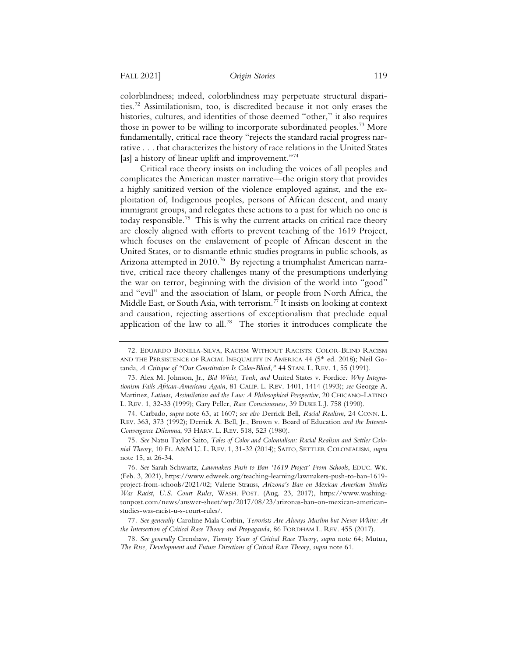colorblindness; indeed, colorblindness may perpetuate structural disparities.72 Assimilationism, too, is discredited because it not only erases the histories, cultures, and identities of those deemed "other," it also requires those in power to be willing to incorporate subordinated peoples.<sup>73</sup> More fundamentally, critical race theory "rejects the standard racial progress narrative . . . that characterizes the history of race relations in the United States [as] a history of linear uplift and improvement."74

Critical race theory insists on including the voices of all peoples and complicates the American master narrative—the origin story that provides a highly sanitized version of the violence employed against, and the exploitation of, Indigenous peoples, persons of African descent, and many immigrant groups, and relegates these actions to a past for which no one is today responsible.<sup>75</sup> This is why the current attacks on critical race theory are closely aligned with efforts to prevent teaching of the 1619 Project, which focuses on the enslavement of people of African descent in the United States, or to dismantle ethnic studies programs in public schools, as Arizona attempted in 2010.<sup>76</sup> By rejecting a triumphalist American narrative, critical race theory challenges many of the presumptions underlying the war on terror, beginning with the division of the world into "good" and "evil" and the association of Islam, or people from North Africa, the Middle East, or South Asia, with terrorism.<sup>77</sup> It insists on looking at context and causation, rejecting assertions of exceptionalism that preclude equal application of the law to all.<sup>78</sup> The stories it introduces complicate the

<sup>72.</sup> EDUARDO BONILLA-SILVA, RACISM WITHOUT RACISTS: COLOR-BLIND RACISM AND THE PERSISTENCE OF RACIAL INEQUALITY IN AMERICA 44 (5<sup>th</sup> ed. 2018); Neil Gotanda, *A Critique of "Our Constitution Is Color-Blind,"* 44 STAN. L. REV. 1, 55 (1991).

<sup>73.</sup> Alex M. Johnson, Jr., *Bid Whist, Tonk, and* United States v. Fordice*: Why Integrationism Fails African-Americans Again*, 81 CALIF. L. REV. 1401, 1414 (1993); *see* George A. Martinez, *Latinos, Assimilation and the Law: A Philosophical Perspective*, 20 CHICANO-LATINO L. REV. 1, 32-33 (1999); Gary Peller, *Race Consciousness*, 39 DUKE L.J. 758 (1990).

<sup>74.</sup> Carbado, *supra* note 63, at 1607; *see also* Derrick Bell, *Racial Realism*, 24 CONN. L. REV. 363, 373 (1992); Derrick A. Bell, Jr., Brown v. Board of Education *and the Interest-Convergence Dilemma*, 93 HARV. L. REV. 518, 523 (1980).

<sup>75</sup>*. See* Natsu Taylor Saito, *Tales of Color and Colonialism: Racial Realism and Settler Colonial Theory*, 10 FL. A&M U. L. REV. 1, 31-32 (2014); SAITO, SETTLER COLONIALISM, *supra* note 15, at 26-34.

<sup>76</sup>*. See* Sarah Schwartz, *Lawmakers Push to Ban '1619 Project' From Schools*, EDUC. WK. (Feb. 3, 2021), https://www.edweek.org/teaching-learning/lawmakers-push-to-ban-1619 project-from-schools/2021/02; Valerie Strauss, *Arizona's Ban on Mexican American Studies Was Racist, U.S. Court Rules*, WASH. POST. (Aug. 23, 2017), https://www.washingtonpost.com/news/answer-sheet/wp/2017/08/23/arizonas-ban-on-mexican-americanstudies-was-racist-u-s-court-rules/.

<sup>77</sup>*. See generally* Caroline Mala Corbin, *Terrorists Are Always Muslim but Never White: At the Intersection of Critical Race Theory and Propaganda*, 86 FORDHAM L. REV. 455 (2017).

<sup>78</sup>*. See generally* Crenshaw, *Twenty Years of Critical Race Theory*, *supra* note 64; Mutua, *The Rise, Development and Future Directions of Critical Race Theory*, *supra* note 61.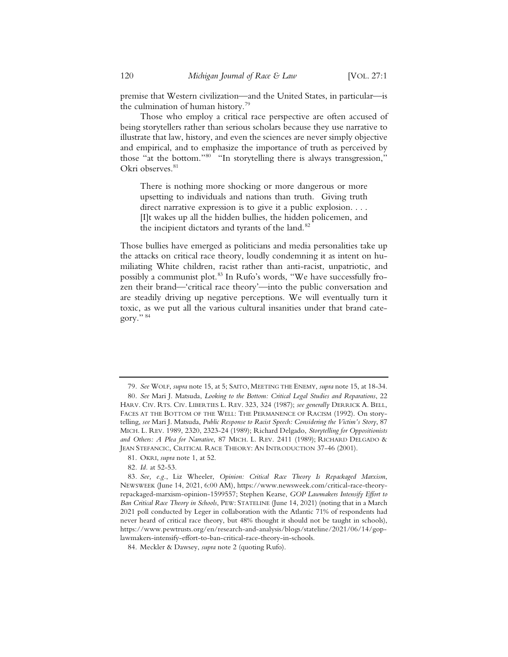premise that Western civilization—and the United States, in particular—is the culmination of human history.79

Those who employ a critical race perspective are often accused of being storytellers rather than serious scholars because they use narrative to illustrate that law, history, and even the sciences are never simply objective and empirical, and to emphasize the importance of truth as perceived by those "at the bottom."<sup>80</sup> "In storytelling there is always transgression," Okri observes.<sup>81</sup>

There is nothing more shocking or more dangerous or more upsetting to individuals and nations than truth. Giving truth direct narrative expression is to give it a public explosion... [I]t wakes up all the hidden bullies, the hidden policemen, and the incipient dictators and tyrants of the land*.* 82

Those bullies have emerged as politicians and media personalities take up the attacks on critical race theory, loudly condemning it as intent on humiliating White children, racist rather than anti-racist, unpatriotic, and possibly a communist plot.83 In Rufo's words, "We have successfully frozen their brand—'critical race theory'—into the public conversation and are steadily driving up negative perceptions. We will eventually turn it toxic, as we put all the various cultural insanities under that brand category." <sup>84</sup>

<sup>79</sup>*. See* WOLF, *supra* note 15, at 5; SAITO, MEETING THE ENEMY, *supra* note 15, at 18-34. 80*. See* Mari J. Matsuda, *Looking to the Bottom: Critical Legal Studies and Reparations*, 22

HARV. CIV. RTS. CIV. LIBERTIES L. REV. 323, 324 (1987); *see generally* DERRICK A. BELL, FACES AT THE BOTTOM OF THE WELL: THE PERMANENCE OF RACISM (1992). On storytelling, *see* Mari J. Matsuda, *Public Response to Racist Speech: Considering the Victim's Story*, 87 MICH. L. REV. 1989, 2320, 2323-24 (1989); Richard Delgado, *Storytelling for Oppositionists and Others: A Plea for Narrative*, 87 MICH. L. REV. 2411 (1989); RICHARD DELGADO & JEAN STEFANCIC, CRITICAL RACE THEORY: AN INTRODUCTION 37-46 (2001).

<sup>81.</sup> OKRI, *supra* note 1, at 52.

<sup>82</sup>*. Id.* at 52-53.

<sup>83</sup>*. See, e.g.*, Liz Wheeler, *Opinion: Critical Race Theory Is Repackaged Marxism*, NEWSWEEK (June 14, 2021, 6:00 AM), https://www.newsweek.com/critical-race-theoryrepackaged-marxism-opinion-1599557; Stephen Kearse, *GOP Lawmakers Intensify Effort to Ban Critical Race Theory in Schools*, PEW: STATELINE (June 14, 2021) (noting that in a March 2021 poll conducted by Leger in collaboration with the Atlantic 71% of respondents had never heard of critical race theory, but 48% thought it should not be taught in schools), https://www.pewtrusts.org/en/research-and-analysis/blogs/stateline/2021/06/14/goplawmakers-intensify-effort-to-ban-critical-race-theory-in-schools.

<sup>84.</sup> Meckler & Dawsey, *supra* note 2 (quoting Rufo).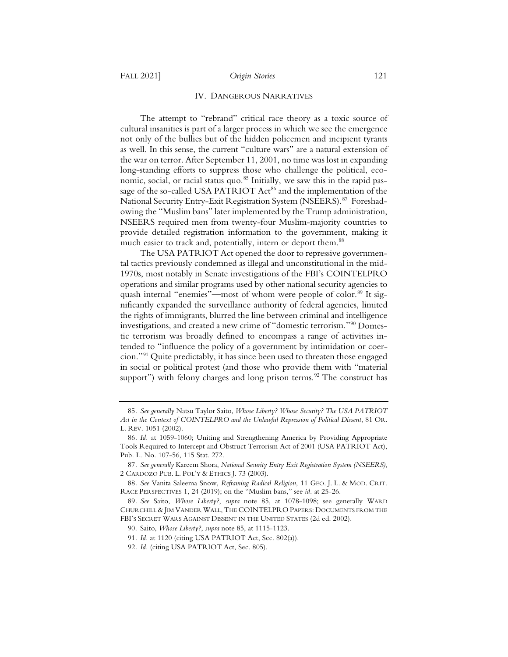#### IV. DANGEROUS NARRATIVES

The attempt to "rebrand" critical race theory as a toxic source of cultural insanities is part of a larger process in which we see the emergence not only of the bullies but of the hidden policemen and incipient tyrants as well. In this sense, the current "culture wars" are a natural extension of the war on terror. After September 11, 2001, no time was lost in expanding long-standing efforts to suppress those who challenge the political, economic, social, or racial status quo.<sup>85</sup> Initially, we saw this in the rapid passage of the so-called USA PATRIOT Act<sup>86</sup> and the implementation of the National Security Entry-Exit Registration System (NSEERS).<sup>87</sup> Foreshadowing the "Muslim bans" later implemented by the Trump administration, NSEERS required men from twenty-four Muslim-majority countries to provide detailed registration information to the government, making it much easier to track and, potentially, intern or deport them.<sup>88</sup>

The USA PATRIOT Act opened the door to repressive governmental tactics previously condemned as illegal and unconstitutional in the mid-1970s, most notably in Senate investigations of the FBI's COINTELPRO operations and similar programs used by other national security agencies to quash internal "enemies"—most of whom were people of color.<sup>89</sup> It significantly expanded the surveillance authority of federal agencies, limited the rights of immigrants, blurred the line between criminal and intelligence investigations, and created a new crime of "domestic terrorism."90 Domestic terrorism was broadly defined to encompass a range of activities intended to "influence the policy of a government by intimidation or coercion."91 Quite predictably, it has since been used to threaten those engaged in social or political protest (and those who provide them with "material support") with felony charges and long prison terms.<sup>92</sup> The construct has

91*. Id.* at 1120 (citing USA PATRIOT Act, Sec. 802(a)).

<sup>85</sup>*. See generally* Natsu Taylor Saito, *Whose Liberty? Whose Security? The USA PATRIOT Act in the Context of COINTELPRO and the Unlawful Repression of Political Dissent*, 81 OR. L. REV. 1051 (2002).

<sup>86</sup>*. Id.* at 1059-1060; Uniting and Strengthening America by Providing Appropriate Tools Required to Intercept and Obstruct Terrorism Act of 2001 (USA PATRIOT Act), Pub. L. No. 107-56, 115 Stat. 272.

<sup>87</sup>*. See generally* Kareem Shora, *National Security Entry Exit Registration System (NSEERS)*, 2 CARDOZO PUB. L. POL'Y & ETHICS J. 73 (2003).

<sup>88</sup>*. See* Vanita Saleema Snow, *Reframing Radical Religion*, 11 GEO. J. L. & MOD. CRIT. RACE PERSPECTIVES 1, 24 (2019); on the "Muslim bans," see *id.* at 25-26.

<sup>89</sup>*. See* Saito, *Whose Liberty?*, *supra* note 85, at 1078-1098; see generally WARD CHURCHILL & JIM VANDER WALL, THE COINTELPRO PAPERS: DOCUMENTS FROM THE FBI'S SECRET WARS AGAINST DISSENT IN THE UNITED STATES (2d ed. 2002).

<sup>90.</sup> Saito, *Whose Liberty?*, *supra* note 85, at 1115-1123.

<sup>92</sup>*. Id.* (citing USA PATRIOT Act, Sec. 805).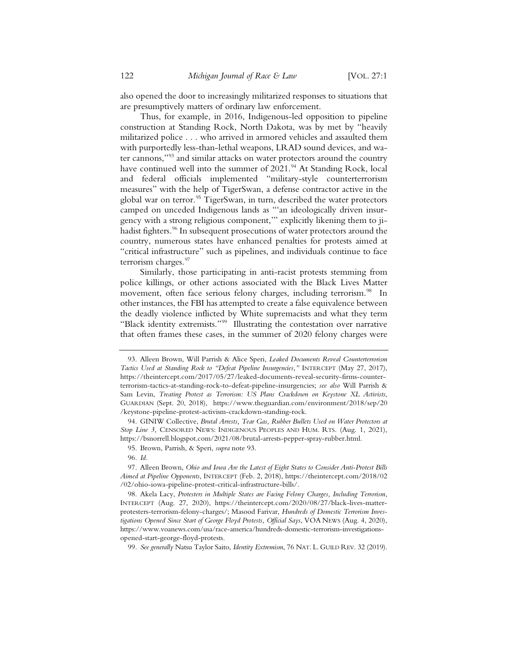also opened the door to increasingly militarized responses to situations that are presumptively matters of ordinary law enforcement.

Thus, for example, in 2016, Indigenous-led opposition to pipeline construction at Standing Rock, North Dakota, was by met by "heavily militarized police . . . who arrived in armored vehicles and assaulted them with purportedly less-than-lethal weapons, LRAD sound devices, and water cannons,"93 and similar attacks on water protectors around the country have continued well into the summer of 2021.<sup>94</sup> At Standing Rock, local and federal officials implemented "military-style counterterrorism measures" with the help of TigerSwan, a defense contractor active in the global war on terror.<sup>95</sup> TigerSwan, in turn, described the water protectors camped on unceded Indigenous lands as "'an ideologically driven insurgency with a strong religious component,'" explicitly likening them to jihadist fighters.<sup>96</sup> In subsequent prosecutions of water protectors around the country, numerous states have enhanced penalties for protests aimed at "critical infrastructure" such as pipelines, and individuals continue to face terrorism charges.<sup>97</sup>

Similarly, those participating in anti-racist protests stemming from police killings, or other actions associated with the Black Lives Matter movement, often face serious felony charges, including terrorism.<sup>98</sup> In other instances, the FBI has attempted to create a false equivalence between the deadly violence inflicted by White supremacists and what they term "Black identity extremists."99 Illustrating the contestation over narrative that often frames these cases, in the summer of 2020 felony charges were

<sup>93.</sup> Alleen Brown, Will Parrish & Alice Speri, *Leaked Documents Reveal Counterterrorism Tactics Used at Standing Rock to "Defeat Pipeline Insurgencies,"* INTERCEPT (May 27, 2017), https://theintercept.com/2017/05/27/leaked-documents-reveal-security-firms-counterterrorism-tactics-at-standing-rock-to-defeat-pipeline-insurgencies; *see also* Will Parrish & Sam Levin, *Treating Protest as Terrorism: US Plans Crackdown on Keystone XL Activists*, GUARDIAN (Sept. 20, 2018), https://www.theguardian.com/environment/2018/sep/20 /keystone-pipeline-protest-activism-crackdown-standing-rock.

<sup>94.</sup> GINIW Collective, *Brutal Arrests, Tear Gas, Rubber Bullets Used on Water Protectors at Stop Line 3*, CENSORED NEWS: INDIGENOUS PEOPLES AND HUM. RTS. (Aug. 1, 2021), https://bsnorrell.blogspot.com/2021/08/brutal-arrests-pepper-spray-rubber.html.

<sup>95.</sup> Brown, Parrish, & Speri, *supra* note 93.

<sup>96</sup>*. Id.*

<sup>97.</sup> Alleen Brown, *Ohio and Iowa Are the Latest of Eight States to Consider Anti-Protest Bills Aimed at Pipeline Opponents*, INTERCEPT (Feb. 2, 2018), https://theintercept.com/2018/02 /02/ohio-iowa-pipeline-protest-critical-infrastructure-bills/.

<sup>98.</sup> Akela Lacy, *Protesters in Multiple States are Facing Felony Charges, Including Terrorism*, INTERCEPT (Aug. 27, 2020), https://theintercept.com/2020/08/27/black-lives-matterprotesters-terrorism-felony-charges/; Masood Farivar, *Hundreds of Domestic Terrorism Investigations Opened Since Start of George Floyd Protests, Official Says*, VOA NEWS (Aug. 4, 2020), https://www.voanews.com/usa/race-america/hundreds-domestic-terrorism-investigationsopened-start-george-floyd-protests.

<sup>99</sup>*. See generally* Natsu Taylor Saito, *Identity Extremism*, 76 NAT. L. GUILD REV. 32 (2019).